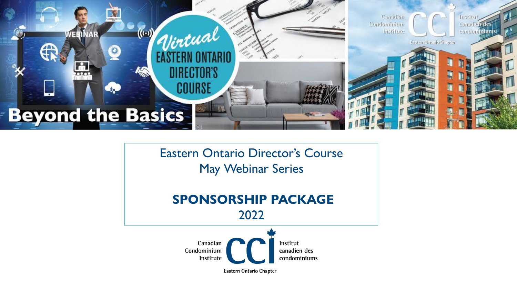

Eastern Ontario Director's Course May Webinar Series

# **SPONSORSHIP PACKAGE** 2022



**Eastern Ontario Chapter**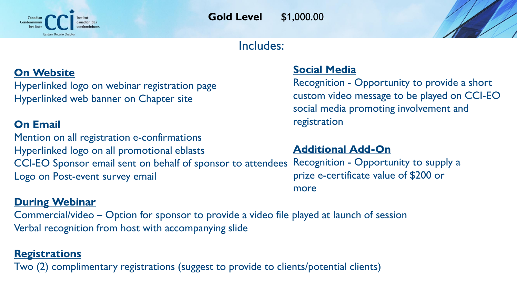

**Gold Level** \$1,000.00

## Includes:

## **On Website**

Hyperlinked logo on webinar registration page Hyperlinked web banner on Chapter site

### **On Email**

Mention on all registration e-confirmations Hyperlinked logo on all promotional eblasts CCI-EO Sponsor email sent on behalf of sponsor to attendees Logo on Post-event survey email **Additional Add-On**

#### **During Webinar**

Commercial/video – Option for sponsor to provide a video file played at launch of session Verbal recognition from host with accompanying slide

#### **Registrations**

Two (2) complimentary registrations (suggest to provide to clients/potential clients)

#### **Social Media**

Recognition - Opportunity to provide a short custom video message to be played on CCI-EO social media promoting involvement and registration

Recognition - Opportunity to supply a prize e-certificate value of \$200 or more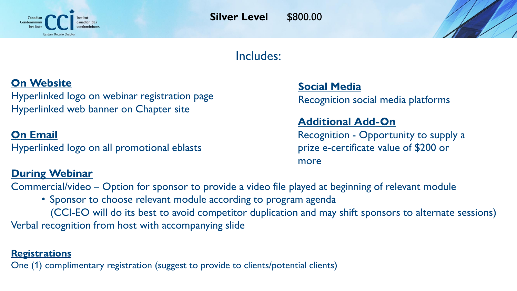

# Includes:

# **On Website**

Hyperlinked logo on webinar registration page Hyperlinked web banner on Chapter site

## **On Email**

Hyperlinked logo on all promotional eblasts

#### **During Webinar**

**Social Media**

Recognition social media platforms

### **Additional Add-On**

Recognition - Opportunity to supply a prize e-certificate value of \$200 or more

Commercial/video – Option for sponsor to provide a video file played at beginning of relevant module

• Sponsor to choose relevant module according to program agenda (CCI-EO will do its best to avoid competitor duplication and may shift sponsors to alternate sessions) Verbal recognition from host with accompanying slide

#### **Registrations**

One (1) complimentary registration (suggest to provide to clients/potential clients)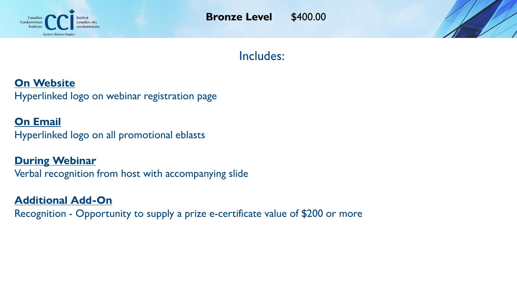

**Bronze Level** \$400.00

# Includes:

### **On Website**

Hyperlinked logo on webinar registration page

#### **On Email**

Hyperlinked logo on all promotional eblasts

#### **During Webinar**

Verbal recognition from host with accompanying slide

### **Additional Add-On**

Recognition - Opportunity to supply a prize e-certificate value of \$200 or more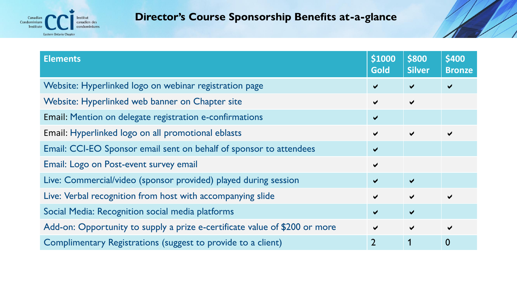

## **Director's Course Sponsorship Benefits at-a-glance**

| <b>Elements</b>                                                            | \$1000<br>Gold       | \$800<br><b>Silver</b> | \$400<br><b>Bronze</b> |
|----------------------------------------------------------------------------|----------------------|------------------------|------------------------|
| Website: Hyperlinked logo on webinar registration page                     | $\blacktriangledown$ | $\blacktriangledown$   |                        |
| Website: Hyperlinked web banner on Chapter site                            | $\blacktriangledown$ | $\blacktriangledown$   |                        |
| Email: Mention on delegate registration e-confirmations                    | $\blacktriangledown$ |                        |                        |
| Email: Hyperlinked logo on all promotional eblasts                         | $\blacktriangledown$ | $\blacktriangledown$   |                        |
| Email: CCI-EO Sponsor email sent on behalf of sponsor to attendees         | ✔                    |                        |                        |
| Email: Logo on Post-event survey email                                     | $\blacktriangledown$ |                        |                        |
| Live: Commercial/video (sponsor provided) played during session            | $\blacktriangledown$ | $\blacktriangledown$   |                        |
| Live: Verbal recognition from host with accompanying slide                 | $\blacktriangledown$ | $\blacktriangledown$   |                        |
| Social Media: Recognition social media platforms                           | $\blacktriangledown$ | $\blacktriangledown$   |                        |
| Add-on: Opportunity to supply a prize e-certificate value of \$200 or more | $\blacktriangledown$ | $\blacktriangledown$   |                        |
| Complimentary Registrations (suggest to provide to a client)               | $\overline{2}$       |                        | 0                      |